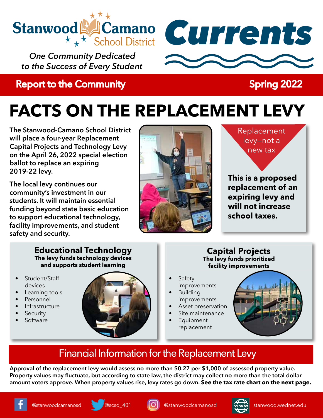

*One Community Dedicated to the Success of Every Student*

## **Report to the Community Report to the Community** Report of Spring 2022



# **FACTS ON THE REPLACEMENT LEVY**

**The Stanwood-Camano School District will place a four-year Replacement Capital Projects and Technology Levy on the April 26, 2022 special election ballot to replace an expiring 2019-22 levy.**

**The local levy continues our community's investment in our students. It will maintain essential funding beyond state basic education to support educational technology, facility improvements, and student safety and security.**



Replacement levy—not a new tax

**This is a proposed replacement of an expiring levy and will not increase school taxes.**

#### **Educational Technology The levy funds technology devices and supports student learning**

- Student/Staff devices
- Learning tools
- **Personnel**
- **Infrastructure**
- **Security**
- **Software**



#### **Capital Projects The levy funds prioritized facility improvements**

- **Safety** improvements
- **Building** improvements
- Asset preservation
- Site maintenance
- **Equipment** replacement



## Financial Information for the Replacement Levy

**Approval of the replacement levy would assess no more than \$0.27 per \$1,000 of assessed property value. Property values may fluctuate, but according to state law, the district may collect no more than the total dollar amount voters approve. When property values rise, levy rates go down. See the tax rate chart on the next page.**









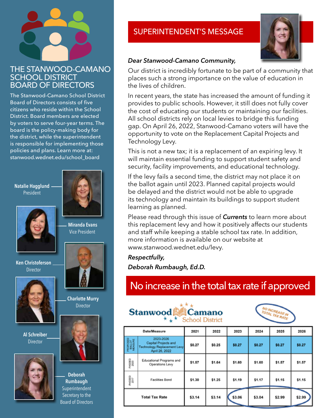#### THE STANWOOD-CAMANO SCHOOL DISTRICT BOARD OF DIRECTORS

The Stanwood-Camano School District Board of Directors consists of five citizens who reside within the School District. Board members are elected by voters to serve four-year terms. The board is the policy-making body for the district, while the superintendent is responsible for implementing those policies and plans. Learn more at: stanwood.wednet.edu/school\_board

**Natalie Hagglund** President



**Ken Christoferson** Director



**Al Schreiber** Director





 **Miranda Evans**

**Charlotte Murry Director** 



**Deborah Rumbaugh** Superintendent Secretary to the Board of Directors

### SUPERINTENDENT'S MESSAGE



#### *Dear Stanwood-Camano Community,*

Our district is incredibly fortunate to be part of a community that places such a strong importance on the value of education in the lives of children.

In recent years, the state has increased the amount of funding it provides to public schools. However, it still does not fully cover the cost of educating our students or maintaining our facilities. All school districts rely on local levies to bridge this funding gap. On April 26, 2022, Stanwood-Camano voters will have the opportunity to vote on the Replacement Capital Projects and Technology Levy.

This is not a new tax; it is a replacement of an expiring levy. It will maintain essential funding to support student safety and security, facility improvements, and educational technology.

If the levy fails a second time, the district may not place it on the ballot again until 2023. Planned capital projects would be delayed and the district would not be able to upgrade its technology and maintain its buildings to support student learning as planned.

Please read through this issue of *Currents* to learn more about this replacement levy and how it positively affects our students and staff while keeping a stable school tax rate. In addition, more information is available on our website at www.stanwood.wednet.edu/levy.

#### *Respectfully,*

*Deborah Rumbaugh, Ed.D.*

## No increase in the total tax rate if approved





| Date/Measure                  |                                                                                           | 2021   | 2022   | 2023   | 2024   | 2025   | 2026   |
|-------------------------------|-------------------------------------------------------------------------------------------|--------|--------|--------|--------|--------|--------|
| PROPOSED<br>BALLOT<br>MEASURE | 2023-2026<br>Capital Projects and<br><b>Technology Replacement Levy</b><br>April 26, 2022 | \$0.27 | \$0.25 | \$0.27 | \$0.27 | \$0.27 | \$0.27 |
| PASSED<br>2020                | Educational Programs and<br>Operations Levy                                               | \$1.57 | \$1.64 | \$1.60 | \$1.60 | \$1.57 | \$1.57 |
| PASSED<br>2017                | Facilities Bond                                                                           | \$1.30 | \$1.25 | \$1.19 | \$1.17 | \$1.15 | \$1.15 |
| <b>Total Tax Rate</b>         |                                                                                           | \$3.14 | \$3.14 | \$3.06 | \$3.04 | \$2.99 | \$2.99 |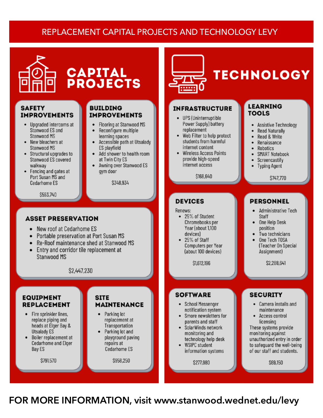### REPLACEMENT CAPITAL PROJECTS AND TECHNOLOGY LEVY



#### **SAFETY IMPROVEMENTS**

- Upgraded intercoms at Stanwood ES and Stanwood MS
- New bleachers at Stanwood MS
- Structural upgrades to Stanwood ES covered walkway
- Fencing and gates at Port Susan MS and Cedarhome ES

\$593,740

#### **BUILDING IMPROVEMENTS**

**CAPITAL<br>PROJECTS** 

- Flooring at Stanwood MS  $\bullet$
- Reconfigure multiple  $\bullet$
- learning spaces<br>Accessible path at Utsalady ES playfield
- Add shower to health room at Twin City ES
- Awning over Stanwood ES aym door

\$348,934



# **TECHNOLOGY**

#### **INFRASTRUCTURE**

- UPS (Uninterruptible Power Supply) battery replacement
- Web Filter to help protect students from harmful internet content
- **Wireless Access Points** provide high-speed internet access

\$168,640

#### **DEVICES**

#### Renews:

- 25% of Student Chromebooks per Year (about 1,100 devices)
- 25% of Staff Computers per Year (about 100 devices)

\$1,612,196

#### **SOFTWARE**

- School Messenger notification system
- Smore newsletters for parents and staff
- SolarWinds network monitoring and technology help desk
- **WSIPC** student information systems

\$277,980

#### **LEARNING TOOLS**

- **Assistive Technology** ٠
- . **Read Naturally**
- . Read & Write
- . Renaissance
- . Robotics
- SMART Notebook .
- Screencastify
- **Typing Agent**

\$747.770

#### **PERSONNEL**

#### • Administrative Tech Staff

- One Help Desk  $\bullet$ position
- Two technicians
- One Tech TOSA (Teacher On Special Assignment)

\$2,288,641

#### **SECURITY**

- Camera installs and maintenance
- Access control licensing These systems provide

monitoring against unauthorized entry in order to safeguard the well-being of our staff and students.

\$69,150

FOR MORE INFORMATION, visit www.stanwood.wednet.edu/levy

#### **ASSET PRESERVATION**

- 
- Portable preservation at Port Susan MS  $\bullet$
- $\bullet$
- Entry and corridor tile replacement at Stanwood MS

\$2,447,230

#### **EQUIPMENT REPLACEMENT**

- Fire sprinkler lines, replace piping and heads at Elger Bay & Utsalady ES
- Boiler replacement at Cedarhome and Elger Bay ES

\$791,570

#### **SITE MAINTENANCE**

- Parking lot  $\bullet$ replacement at Transportation
- Parking lot and playground paving repairs at Cedarhome ES

\$958,250

- New roof at Cedarhome ES
- 
- Re-Roof maintenance shed at Stanwood MS
-